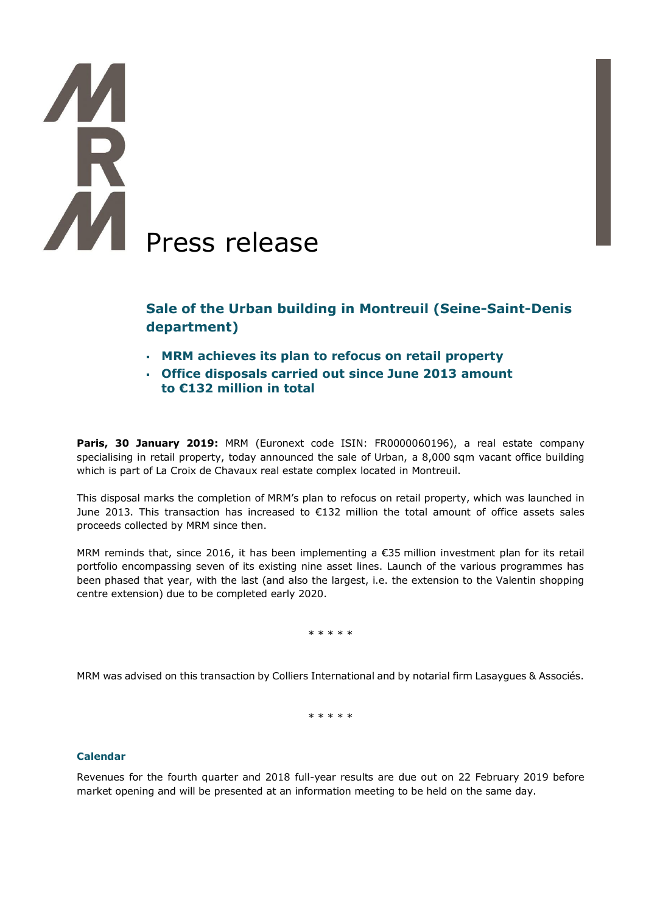# **TA** AM Press release

# **Sale of the Urban building in Montreuil (Seine-Saint-Denis department)**

- **MRM achieves its plan to refocus on retail property**
- **Office disposals carried out since June 2013 amount to €132 million in total**

**Paris, 30 January 2019:** MRM (Euronext code ISIN: FR0000060196), a real estate company specialising in retail property, today announced the sale of Urban, a 8,000 sqm vacant office building which is part of La Croix de Chavaux real estate complex located in Montreuil.

This disposal marks the completion of MRM's plan to refocus on retail property, which was launched in June 2013. This transaction has increased to  $E$ 132 million the total amount of office assets sales proceeds collected by MRM since then.

MRM reminds that, since 2016, it has been implementing a €35 million investment plan for its retail portfolio encompassing seven of its existing nine asset lines. Launch of the various programmes has been phased that year, with the last (and also the largest, i.e. the extension to the Valentin shopping centre extension) due to be completed early 2020.

\* \* \* \* \*

MRM was advised on this transaction by Colliers International and by notarial firm Lasaygues & Associés.

\* \* \* \* \*

# **Calendar**

Revenues for the fourth quarter and 2018 full-year results are due out on 22 February 2019 before market opening and will be presented at an information meeting to be held on the same day.